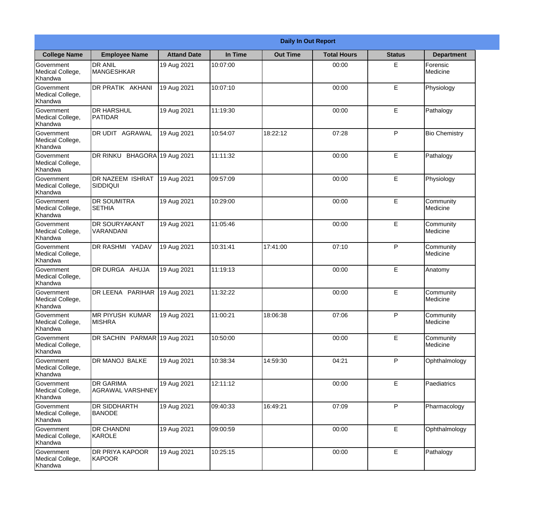|                                                  | <b>Daily In Out Report</b>                  |                    |          |                 |                    |               |                       |  |  |
|--------------------------------------------------|---------------------------------------------|--------------------|----------|-----------------|--------------------|---------------|-----------------------|--|--|
| <b>College Name</b>                              | <b>Employee Name</b>                        | <b>Attand Date</b> | In Time  | <b>Out Time</b> | <b>Total Hours</b> | <b>Status</b> | <b>Department</b>     |  |  |
| Government<br>Medical College,<br>Khandwa        | <b>DR ANIL</b><br><b>MANGESHKAR</b>         | 19 Aug 2021        | 10:07:00 |                 | 00:00              | E             | Forensic<br>Medicine  |  |  |
| Government<br>Medical College,<br>Khandwa        | DR PRATIK AKHANI                            | 19 Aug 2021        | 10:07:10 |                 | 00:00              | E             | Physiology            |  |  |
| <b>Government</b><br>Medical College,<br>Khandwa | <b>DR HARSHUL</b><br><b>PATIDAR</b>         | 19 Aug 2021        | 11:19:30 |                 | 00:00              | E             | Pathalogy             |  |  |
| Government<br>Medical College,<br>Khandwa        | DR UDIT AGRAWAL                             | 19 Aug 2021        | 10:54:07 | 18:22:12        | 07:28              | P             | <b>Bio Chemistry</b>  |  |  |
| Government<br>Medical College,<br>Khandwa        | DR RINKU BHAGORA 19 Aug 2021                |                    | 11:11:32 |                 | 00:00              | E             | Pathalogy             |  |  |
| Government<br>Medical College,<br>Khandwa        | DR NAZEEM ISHRAT<br><b>SIDDIQUI</b>         | 19 Aug 2021        | 09:57:09 |                 | 00:00              | E             | Physiology            |  |  |
| Government<br>Medical College,<br>Khandwa        | <b>DR SOUMITRA</b><br><b>SETHIA</b>         | 19 Aug 2021        | 10:29:00 |                 | 00:00              | E             | Community<br>Medicine |  |  |
| Government<br>Medical College,<br>Khandwa        | <b>DR SOURYAKANT</b><br>VARANDANI           | 19 Aug 2021        | 11:05:46 |                 | 00:00              | E             | Community<br>Medicine |  |  |
| Government<br>Medical College,<br>Khandwa        | <b>DR RASHMI YADAV</b>                      | 19 Aug 2021        | 10:31:41 | 17:41:00        | 07:10              | P             | Community<br>Medicine |  |  |
| Government<br>Medical College,<br>Khandwa        | DR DURGA AHUJA                              | 19 Aug 2021        | 11:19:13 |                 | 00:00              | E             | Anatomy               |  |  |
| Government<br>Medical College,<br>Khandwa        | DR LEENA PARIHAR                            | 19 Aug 2021        | 11:32:22 |                 | 00:00              | E             | Community<br>Medicine |  |  |
| Government<br>Medical College,<br>Khandwa        | <b>MR PIYUSH KUMAR</b><br><b>MISHRA</b>     | 19 Aug 2021        | 11:00:21 | 18:06:38        | 07:06              | P             | Community<br>Medicine |  |  |
| Government<br>Medical College,<br>Khandwa        | DR SACHIN PARMAR 19 Aug 2021                |                    | 10:50:00 |                 | 00:00              | E             | Community<br>Medicine |  |  |
| Government<br>Medical College,<br>Khandwa        | DR MANOJ BALKE                              | 19 Aug 2021        | 10:38:34 | 14:59:30        | 04:21              | P             | Ophthalmology         |  |  |
| <b>Government</b><br>Medical College,<br>Khandwa | <b>DR GARIMA</b><br><b>AGRAWAL VARSHNEY</b> | 19 Aug 2021        | 12:11:12 |                 | 00:00              | E             | Paediatrics           |  |  |
| Government<br>Medical College,<br>Khandwa        | <b>DR SIDDHARTH</b><br><b>BANODE</b>        | 19 Aug 2021        | 09:40:33 | 16:49:21        | 07:09              | P             | Pharmacology          |  |  |
| Government<br>Medical College,<br>Khandwa        | <b>DR CHANDNI</b><br>KAROLE                 | 19 Aug 2021        | 09:00:59 |                 | 00:00              | E             | Ophthalmology         |  |  |
| Government<br>Medical College,<br>Khandwa        | DR PRIYA KAPOOR<br>KAPOOR                   | 19 Aug 2021        | 10:25:15 |                 | 00:00              | E             | Pathalogy             |  |  |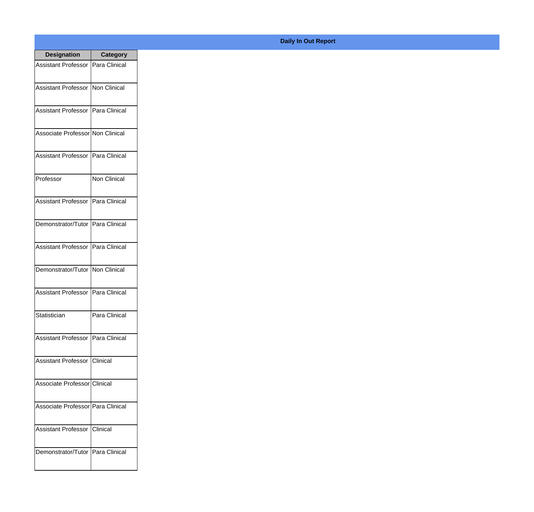| <b>Designation</b>                  | <b>Category</b> |
|-------------------------------------|-----------------|
| Assistant Professor   Para Clinical |                 |
| Assistant Professor   Non Clinical  |                 |
| Assistant Professor   Para Clinical |                 |
| Associate Professor Non Clinical    |                 |
| <b>Assistant Professor</b>          | Para Clinical   |
| Professor                           | Non Clinical    |
| Assistant Professor   Para Clinical |                 |
| Demonstrator/Tutor   Para Clinical  |                 |
| Assistant Professor   Para Clinical |                 |
| Demonstrator/Tutor   Non Clinical   |                 |
| <b>Assistant Professor</b>          | Para Clinical   |
| Statistician                        | Para Clinical   |
| Assistant Professor   Para Clinical |                 |
| Assistant Professor   Clinical      |                 |
| Associate Professor Clinical        |                 |
| Associate Professor   Para Clinical |                 |
| <b>Assistant Professor</b>          | Clinical        |
| Demonstrator/Tutor   Para Clinical  |                 |

## **Daily In Out Report**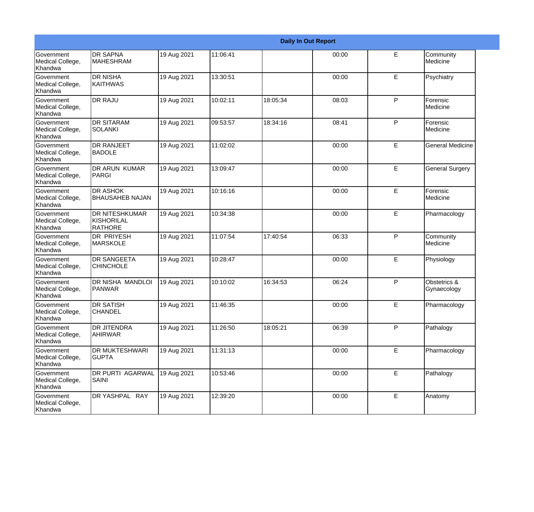|                                                  |                                                       |             |          |          | <b>Daily In Out Report</b> |    |                             |
|--------------------------------------------------|-------------------------------------------------------|-------------|----------|----------|----------------------------|----|-----------------------------|
| <b>Government</b><br>Medical College,<br>Khandwa | <b>DR SAPNA</b><br><b>MAHESHRAM</b>                   | 19 Aug 2021 | 11:06:41 |          | 00:00                      | E  | Community<br>Medicine       |
| Government<br>Medical College,<br>Khandwa        | <b>DR NISHA</b><br><b>KAITHWAS</b>                    | 19 Aug 2021 | 13:30:51 |          | 00:00                      | E  | Psychiatry                  |
| Government<br>Medical College,<br>Khandwa        | <b>DR RAJU</b>                                        | 19 Aug 2021 | 10:02:11 | 18:05:34 | 08:03                      | P  | Forensic<br>Medicine        |
| Government<br>Medical College,<br>Khandwa        | <b>DR SITARAM</b><br><b>SOLANKI</b>                   | 19 Aug 2021 | 09:53:57 | 18:34:16 | 08:41                      | P  | Forensic<br>Medicine        |
| Government<br>Medical College,<br>Khandwa        | <b>DR RANJEET</b><br><b>BADOLE</b>                    | 19 Aug 2021 | 11:02:02 |          | 00:00                      | E  | <b>General Medicine</b>     |
| Government<br>Medical College,<br>Khandwa        | <b>DR ARUN KUMAR</b><br>PARGI                         | 19 Aug 2021 | 13:09:47 |          | 00:00                      | E  | <b>General Surgery</b>      |
| <b>Government</b><br>Medical College,<br>Khandwa | <b>DR ASHOK</b><br><b>BHAUSAHEB NAJAN</b>             | 19 Aug 2021 | 10:16:16 |          | 00:00                      | E  | Forensic<br>Medicine        |
| Government<br>Medical College,<br>Khandwa        | <b>DR NITESHKUMAR</b><br>KISHORILAL<br><b>RATHORE</b> | 19 Aug 2021 | 10:34:38 |          | 00:00                      | E  | Pharmacology                |
| Government<br>Medical College,<br>Khandwa        | <b>DR PRIYESH</b><br><b>MARSKOLE</b>                  | 19 Aug 2021 | 11:07:54 | 17:40:54 | 06:33                      | P  | Community<br>Medicine       |
| Government<br>Medical College,<br>Khandwa        | <b>DR SANGEETA</b><br><b>CHINCHOLE</b>                | 19 Aug 2021 | 10:28:47 |          | 00:00                      | E  | Physiology                  |
| Government<br>Medical College,<br>Khandwa        | <b>DR NISHA MANDLOI</b><br>PANWAR                     | 19 Aug 2021 | 10:10:02 | 16:34:53 | 06:24                      | P  | Obstetrics &<br>Gynaecology |
| Government<br>Medical College,<br>Khandwa        | <b>DR SATISH</b><br><b>CHANDEL</b>                    | 19 Aug 2021 | 11:46:35 |          | 00:00                      | E  | Pharmacology                |
| Government<br>Medical College,<br>Khandwa        | <b>DR JITENDRA</b><br><b>AHIRWAR</b>                  | 19 Aug 2021 | 11:26:50 | 18:05:21 | 06:39                      | P  | Pathalogy                   |
| Government<br>Medical College,<br>Khandwa        | DR MUKTESHWARI<br><b>GUPTA</b>                        | 19 Aug 2021 | 11:31:13 |          | 00:00                      | E. | Pharmacology                |
| Government<br>Medical College,<br>Khandwa        | DR PURTI AGARWAL<br><b>SAINI</b>                      | 19 Aug 2021 | 10:53:46 |          | 00:00                      | E  | Pathalogy                   |
| Government<br>Medical College,<br>Khandwa        | DR YASHPAL RAY                                        | 19 Aug 2021 | 12:39:20 |          | 00:00                      | E  | Anatomy                     |